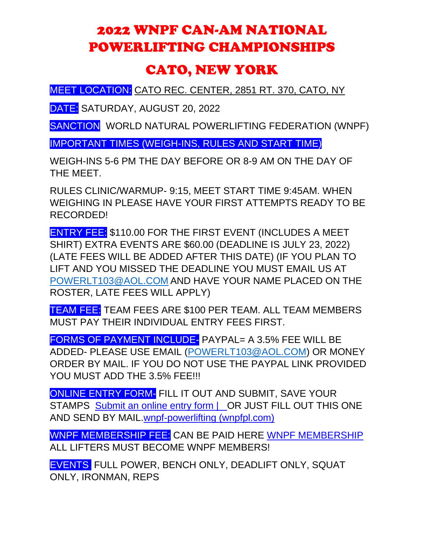## 2022 WNPF CAN-AM NATIONAL POWERLIFTING CHAMPIONSHIPS

## CATO, NEW YORK

MEET LOCATION: CATO REC. CENTER, 2851 RT. 370, CATO, NY

DATE: SATURDAY, AUGUST 20, 2022

SANCTION WORLD NATURAL POWERLIFTING FEDERATION (WNPF)

IMPORTANT TIMES (WEIGH-INS, RULES AND START TIME)

WEIGH-INS 5-6 PM THE DAY BEFORE OR 8-9 AM ON THE DAY OF THE MEET.

RULES CLINIC/WARMUP- 9:15, MEET START TIME 9:45AM. WHEN WEIGHING IN PLEASE HAVE YOUR FIRST ATTEMPTS READY TO BE RECORDED!

ENTRY FEE: \$110.00 FOR THE FIRST EVENT (INCLUDES A MEET SHIRT) EXTRA EVENTS ARE \$60.00 (DEADLINE IS JULY 23, 2022) (LATE FEES WILL BE ADDED AFTER THIS DATE) (IF YOU PLAN TO LIFT AND YOU MISSED THE DEADLINE YOU MUST EMAIL US AT [POWERLT103@AOL.COM](mailto:POWERLT103@AOL.COM) AND HAVE YOUR NAME PLACED ON THE ROSTER, LATE FEES WILL APPLY)

TEAM FEE: TEAM FEES ARE \$100 PER TEAM. ALL TEAM MEMBERS MUST PAY THEIR INDIVIDUAL ENTRY FEES FIRST.

FORMS OF PAYMENT INCLUDE- PAYPAL= A 3.5% FEE WILL BE ADDED- PLEASE USE EMAIL [\(POWERLT103@AOL.COM\)](mailto:POWERLT103@AOL.COM) OR MONEY ORDER BY MAIL. IF YOU DO NOT USE THE PAYPAL LINK PROVIDED YOU MUST ADD THE 3.5% FEE !!!

ONLINE ENTRY FORM- FILL IT OUT AND SUBMIT, SAVE YOUR STAMPS Submit an online entry form | OR JUST FILL OUT THIS ONE [AND SEND BY MAIL.wnpf-powerlifting \(wnpfpl.com\)](https://www.wnpfpl.com/submit-an-online-entry-form)

WNPF MEMBERSHIP FEE: CAN BE PAID HERE [WNPF MEMBERSHIP](https://www.wnpfpl.com/online-membership-form) ALL LIFTERS MUST BECOME WNPF MEMBERS!

EVENTS FULL POWER, BENCH ONLY, DEADLIFT ONLY, SQUAT ONLY, IRONMAN, REPS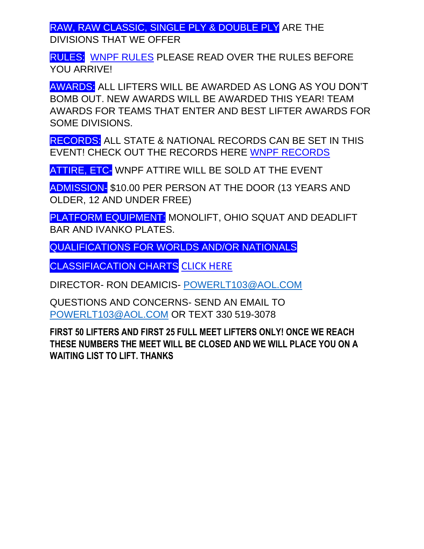RAW, RAW CLASSIC, SINGLE PLY & DOUBLE PLY ARE THE DIVISIONS THAT WE OFFER

RULES: [WNPF RULES](https://e1736ca4-7373-44b7-b522-77e81279f2d7.filesusr.com/ugd/6a501f_14f6127424fb4b759e8c48d9b84a761f.pdf) PLEASE READ OVER THE RULES BEFORE YOU ARRIVE!

AWARDS: ALL LIFTERS WILL BE AWARDED AS LONG AS YOU DON'T BOMB OUT. NEW AWARDS WILL BE AWARDED THIS YEAR! TEAM AWARDS FOR TEAMS THAT ENTER AND BEST LIFTER AWARDS FOR SOME DIVISIONS.

RECORDS: ALL STATE & NATIONAL RECORDS CAN BE SET IN THIS EVENT! CHECK OUT THE RECORDS HERE [WNPF RECORDS](https://www.wnpfpl.com/state-records) 

ATTIRE, ETC- WNPF ATTIRE WILL BE SOLD AT THE EVENT

ADMISSION- \$10.00 PER PERSON AT THE DOOR (13 YEARS AND OLDER, 12 AND UNDER FREE)

PLATFORM EQUIPMENT: MONOLIFT, OHIO SQUAT AND DEADLIFT BAR AND IVANKO PLATES.

QUALIFICATIONS FOR WORLDS AND/OR NATIONALS

CLASSIFIACATION CHARTS [CLICK HERE](https://e1736ca4-7373-44b7-b522-77e81279f2d7.filesusr.com/ugd/6a501f_425f6e01a15c439f9bdcad92ba6f900c.pdf)

DIRECTOR- RON DEAMICIS- [POWERLT103@AOL.COM](mailto:POWERLT103@AOL.COM)

QUESTIONS AND CONCERNS- SEND AN EMAIL TO [POWERLT103@AOL.COM](mailto:POWERLT103@AOL.COM) OR TEXT 330 519-3078

**FIRST 50 LIFTERS AND FIRST 25 FULL MEET LIFTERS ONLY! ONCE WE REACH THESE NUMBERS THE MEET WILL BE CLOSED AND WE WILL PLACE YOU ON A WAITING LIST TO LIFT. THANKS**